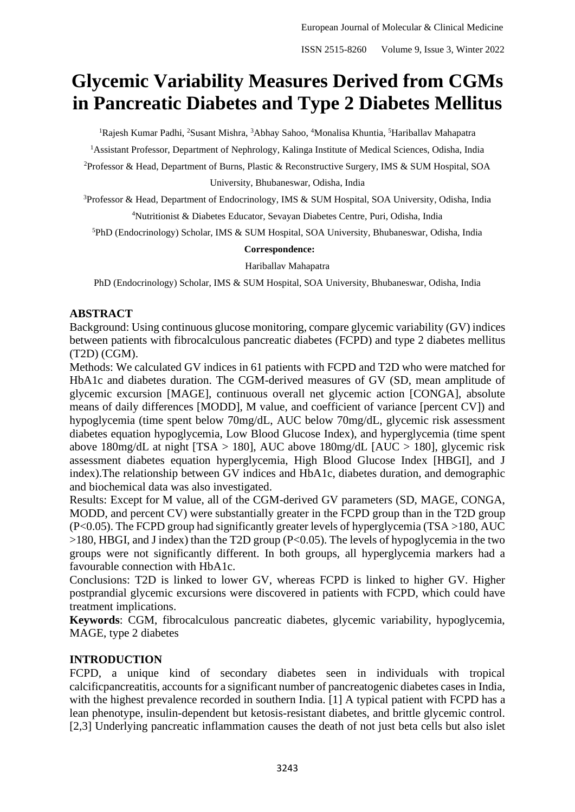# **Glycemic Variability Measures Derived from CGMs in Pancreatic Diabetes and Type 2 Diabetes Mellitus**

<sup>1</sup>Rajesh Kumar Padhi, <sup>2</sup>Susant Mishra, <sup>3</sup>Abhay Sahoo, <sup>4</sup>Monalisa Khuntia, <sup>5</sup>Hariballay Mahapatra

<sup>1</sup>Assistant Professor, Department of Nephrology, Kalinga Institute of Medical Sciences, Odisha, India

<sup>2</sup>Professor & Head, Department of Burns, Plastic & Reconstructive Surgery, IMS & SUM Hospital, SOA University, Bhubaneswar, Odisha, India

<sup>3</sup>Professor & Head, Department of Endocrinology, IMS & SUM Hospital, SOA University, Odisha, India

<sup>4</sup>Nutritionist & Diabetes Educator, Sevayan Diabetes Centre, Puri, Odisha, India

<sup>5</sup>PhD (Endocrinology) Scholar, IMS & SUM Hospital, SOA University, Bhubaneswar, Odisha, India

#### **Correspondence:**

Hariballav Mahapatra

PhD (Endocrinology) Scholar, IMS & SUM Hospital, SOA University, Bhubaneswar, Odisha, India

# **ABSTRACT**

Background: Using continuous glucose monitoring, compare glycemic variability (GV) indices between patients with fibrocalculous pancreatic diabetes (FCPD) and type 2 diabetes mellitus (T2D) (CGM).

Methods: We calculated GV indices in 61 patients with FCPD and T2D who were matched for HbA1c and diabetes duration. The CGM-derived measures of GV (SD, mean amplitude of glycemic excursion [MAGE], continuous overall net glycemic action [CONGA], absolute means of daily differences [MODD], M value, and coefficient of variance [percent CV]) and hypoglycemia (time spent below 70mg/dL, AUC below 70mg/dL, glycemic risk assessment diabetes equation hypoglycemia, Low Blood Glucose Index), and hyperglycemia (time spent above 180mg/dL at night  $[TSA > 180]$ , AUC above 180mg/dL  $[AUC > 180]$ , glycemic risk assessment diabetes equation hyperglycemia, High Blood Glucose Index [HBGI], and J index).The relationship between GV indices and HbA1c, diabetes duration, and demographic and biochemical data was also investigated.

Results: Except for M value, all of the CGM-derived GV parameters (SD, MAGE, CONGA, MODD, and percent CV) were substantially greater in the FCPD group than in the T2D group (P<0.05). The FCPD group had significantly greater levels of hyperglycemia (TSA >180, AUC >180, HBGI, and J index) than the T2D group (P<0.05). The levels of hypoglycemia in the two groups were not significantly different. In both groups, all hyperglycemia markers had a favourable connection with HbA1c.

Conclusions: T2D is linked to lower GV, whereas FCPD is linked to higher GV. Higher postprandial glycemic excursions were discovered in patients with FCPD, which could have treatment implications.

**Keywords**: CGM, fibrocalculous pancreatic diabetes, glycemic variability, hypoglycemia, MAGE, type 2 diabetes

# **INTRODUCTION**

FCPD, a unique kind of secondary diabetes seen in individuals with tropical calcificpancreatitis, accounts for a significant number of pancreatogenic diabetes cases in India, with the highest prevalence recorded in southern India. [1] A typical patient with FCPD has a lean phenotype, insulin-dependent but ketosis-resistant diabetes, and brittle glycemic control. [2,3] Underlying pancreatic inflammation causes the death of not just beta cells but also islet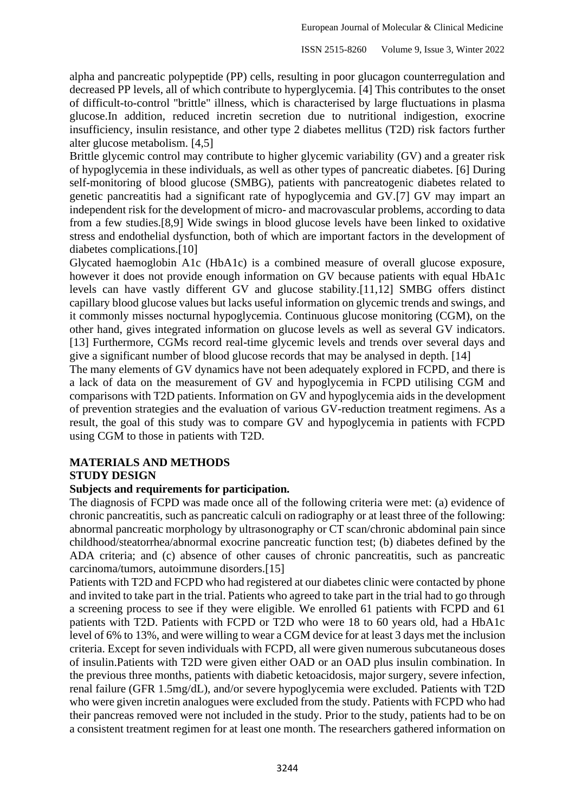alpha and pancreatic polypeptide (PP) cells, resulting in poor glucagon counterregulation and decreased PP levels, all of which contribute to hyperglycemia. [4] This contributes to the onset of difficult-to-control "brittle" illness, which is characterised by large fluctuations in plasma glucose.In addition, reduced incretin secretion due to nutritional indigestion, exocrine insufficiency, insulin resistance, and other type 2 diabetes mellitus (T2D) risk factors further alter glucose metabolism. [4,5]

Brittle glycemic control may contribute to higher glycemic variability (GV) and a greater risk of hypoglycemia in these individuals, as well as other types of pancreatic diabetes. [6] During self-monitoring of blood glucose (SMBG), patients with pancreatogenic diabetes related to genetic pancreatitis had a significant rate of hypoglycemia and GV.[7] GV may impart an independent risk for the development of micro- and macrovascular problems, according to data from a few studies.[8,9] Wide swings in blood glucose levels have been linked to oxidative stress and endothelial dysfunction, both of which are important factors in the development of diabetes complications.[10]

Glycated haemoglobin A1c (HbA1c) is a combined measure of overall glucose exposure, however it does not provide enough information on GV because patients with equal HbA1c levels can have vastly different GV and glucose stability.[11,12] SMBG offers distinct capillary blood glucose values but lacks useful information on glycemic trends and swings, and it commonly misses nocturnal hypoglycemia. Continuous glucose monitoring (CGM), on the other hand, gives integrated information on glucose levels as well as several GV indicators. [13] Furthermore, CGMs record real-time glycemic levels and trends over several days and give a significant number of blood glucose records that may be analysed in depth. [14]

The many elements of GV dynamics have not been adequately explored in FCPD, and there is a lack of data on the measurement of GV and hypoglycemia in FCPD utilising CGM and comparisons with T2D patients. Information on GV and hypoglycemia aids in the development of prevention strategies and the evaluation of various GV-reduction treatment regimens. As a result, the goal of this study was to compare GV and hypoglycemia in patients with FCPD using CGM to those in patients with T2D.

# **MATERIALS AND METHODS STUDY DESIGN**

#### **Subjects and requirements for participation***.*

The diagnosis of FCPD was made once all of the following criteria were met: (a) evidence of chronic pancreatitis, such as pancreatic calculi on radiography or at least three of the following: abnormal pancreatic morphology by ultrasonography or CT scan/chronic abdominal pain since childhood/steatorrhea/abnormal exocrine pancreatic function test; (b) diabetes defined by the ADA criteria; and (c) absence of other causes of chronic pancreatitis, such as pancreatic carcinoma/tumors, autoimmune disorders.[15]

Patients with T2D and FCPD who had registered at our diabetes clinic were contacted by phone and invited to take part in the trial. Patients who agreed to take part in the trial had to go through a screening process to see if they were eligible. We enrolled 61 patients with FCPD and 61 patients with T2D. Patients with FCPD or T2D who were 18 to 60 years old, had a HbA1c level of 6% to 13%, and were willing to wear a CGM device for at least 3 days met the inclusion criteria. Except for seven individuals with FCPD, all were given numerous subcutaneous doses of insulin.Patients with T2D were given either OAD or an OAD plus insulin combination. In the previous three months, patients with diabetic ketoacidosis, major surgery, severe infection, renal failure (GFR 1.5mg/dL), and/or severe hypoglycemia were excluded. Patients with T2D who were given incretin analogues were excluded from the study. Patients with FCPD who had their pancreas removed were not included in the study. Prior to the study, patients had to be on a consistent treatment regimen for at least one month. The researchers gathered information on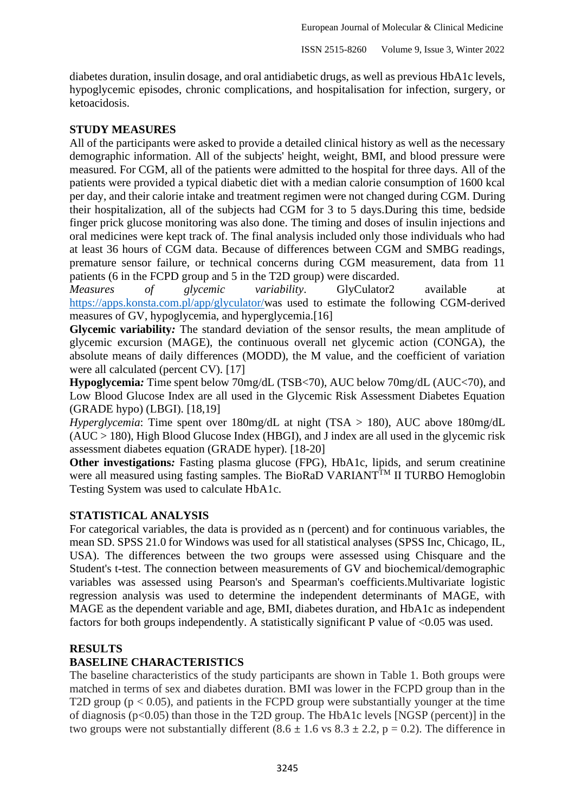diabetes duration, insulin dosage, and oral antidiabetic drugs, as well as previous HbA1c levels, hypoglycemic episodes, chronic complications, and hospitalisation for infection, surgery, or ketoacidosis.

# **STUDY MEASURES**

All of the participants were asked to provide a detailed clinical history as well as the necessary demographic information. All of the subjects' height, weight, BMI, and blood pressure were measured. For CGM, all of the patients were admitted to the hospital for three days. All of the patients were provided a typical diabetic diet with a median calorie consumption of 1600 kcal per day, and their calorie intake and treatment regimen were not changed during CGM. During their hospitalization, all of the subjects had CGM for 3 to 5 days.During this time, bedside finger prick glucose monitoring was also done. The timing and doses of insulin injections and oral medicines were kept track of. The final analysis included only those individuals who had at least 36 hours of CGM data. Because of differences between CGM and SMBG readings, premature sensor failure, or technical concerns during CGM measurement, data from 11 patients (6 in the FCPD group and 5 in the T2D group) were discarded.

*Measures of glycemic variability*. GlyCulator2 available at [https://apps.konsta.com.pl/app/glyculator/w](https://apps.konsta.com.pl/app/glyculator/)as used to estimate the following CGM-derived measures of GV, hypoglycemia, and hyperglycemia.[16]

**Glycemic variability***:* The standard deviation of the sensor results, the mean amplitude of glycemic excursion (MAGE), the continuous overall net glycemic action (CONGA), the absolute means of daily differences (MODD), the M value, and the coefficient of variation were all calculated (percent CV). [17]

**Hypoglycemia***:* Time spent below 70mg/dL (TSB<70), AUC below 70mg/dL (AUC<70), and Low Blood Glucose Index are all used in the Glycemic Risk Assessment Diabetes Equation (GRADE hypo) (LBGI). [18,19]

*Hyperglycemia*: Time spent over 180mg/dL at night (TSA > 180), AUC above 180mg/dL (AUC > 180), High Blood Glucose Index (HBGI), and J index are all used in the glycemic risk assessment diabetes equation (GRADE hyper). [18-20]

**Other investigations:** Fasting plasma glucose (FPG), HbA1c, lipids, and serum creatinine were all measured using fasting samples. The BioRaD VARIANT<sup>TM</sup> II TURBO Hemoglobin Testing System was used to calculate HbA1c.

### **STATISTICAL ANALYSIS**

For categorical variables, the data is provided as n (percent) and for continuous variables, the mean SD. SPSS 21.0 for Windows was used for all statistical analyses (SPSS Inc, Chicago, IL, USA). The differences between the two groups were assessed using Chisquare and the Student's t-test. The connection between measurements of GV and biochemical/demographic variables was assessed using Pearson's and Spearman's coefficients.Multivariate logistic regression analysis was used to determine the independent determinants of MAGE, with MAGE as the dependent variable and age, BMI, diabetes duration, and HbA1c as independent factors for both groups independently. A statistically significant P value of  $\leq 0.05$  was used.

### **RESULTS**

# **BASELINE CHARACTERISTICS**

The baseline characteristics of the study participants are shown in Table 1. Both groups were matched in terms of sex and diabetes duration. BMI was lower in the FCPD group than in the T2D group ( $p < 0.05$ ), and patients in the FCPD group were substantially younger at the time of diagnosis (p<0.05) than those in the T2D group. The HbA1c levels [NGSP (percent)] in the two groups were not substantially different  $(8.6 \pm 1.6 \text{ vs } 8.3 \pm 2.2, \text{ p} = 0.2)$ . The difference in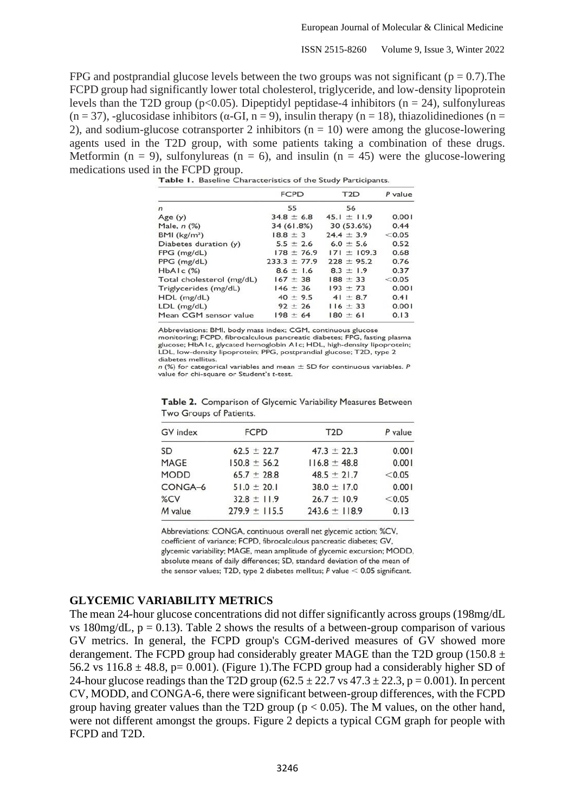ISSN 2515-8260 Volume 9, Issue 3, Winter 2022

FPG and postprandial glucose levels between the two groups was not significant ( $p = 0.7$ ). The FCPD group had significantly lower total cholesterol, triglyceride, and low-density lipoprotein levels than the T2D group ( $p<0.05$ ). Dipeptidyl peptidase-4 inhibitors ( $n = 24$ ), sulfonylureas (n = 37), -glucosidase inhibitors ( $\alpha$ -GI, n = 9), insulin therapy (n = 18), thiazolidinediones (n = 2), and sodium-glucose cotransporter 2 inhibitors ( $n = 10$ ) were among the glucose-lowering agents used in the T2D group, with some patients taking a combination of these drugs. Metformin ( $n = 9$ ), sulfonylureas ( $n = 6$ ), and insulin ( $n = 45$ ) were the glucose-lowering medications used in the FCPD group.<br>**Table 1.** Baseline Characteristics of the Study Participants.

|                           | <b>FCPD</b>      | T <sub>2</sub> D | P value |  |
|---------------------------|------------------|------------------|---------|--|
| $\mathsf{n}$              | 55               | 56               |         |  |
| Age $(y)$                 | $34.8 \pm 6.8$   | $45.1 \pm 11.9$  | 0.001   |  |
| Male, $n$ $(\%)$          | 34 (61.8%)       | 30(53.6%)        | 0.44    |  |
| BMI (kg/m <sup>2</sup> )  | $18.8 \pm 3$     | $24.4 \pm 3.9$   | < 0.05  |  |
| Diabetes duration (y)     | $5.5 \pm 2.6$    | $6.0 \pm 5.6$    | 0.52    |  |
| $FPG$ (mg/dL)             | $178 \pm 76.9$   | $171 \pm 109.3$  | 0.68    |  |
| PPG (mg/dL)               | $233.3 \pm 77.9$ | $228 + 95.2$     | 0.76    |  |
| $HbA1c$ $(\%)$            | $8.6 \pm 1.6$    | $8.3 \pm 1.9$    | 0.37    |  |
| Total cholesterol (mg/dL) | $167 \pm 38$     | $188 + 33$       | < 0.05  |  |
| Triglycerides (mg/dL)     | $146 \pm 36$     | $193 + 73$       | 0.001   |  |
| $HDL$ (mg/dL)             | $40 \pm 9.5$     | $41 \pm 8.7$     | 0.41    |  |
| $LDL$ (mg/dL)             | $92 \pm 26$      | $116 \pm 33$     | 0.001   |  |
| Mean CGM sensor value     | $198 \pm 64$     | $180 \pm 61$     | 0.13    |  |

Abbreviations: BMI, body mass index; CGM, continuous glucose

monitoring; FCPD, fibrocalculous pancreatic diabetes; FPG, fasting plasma glucose; HbA1c, glycated hemoglobin A1c; HDL, high-density lipoprotein; LDL, low-density lipoprotein; PPG, postprandial glucose; T2D, type 2 diabetes mellitus.

 $n$  (%) for categorical variables and mean  $\pm$  SD for continuous variables. P value for chi-square or Student's t-test.

| GV index    | <b>FCPD</b>      | T <sub>2</sub> D  | P value |
|-------------|------------------|-------------------|---------|
| SD          | $62.5 \pm 22.7$  | $47.3 \pm 22.3$   | 0.001   |
| MAGE        | $150.8 \pm 56.2$ | $116.8 \pm 48.8$  | 0.001   |
| <b>MODD</b> | $65.7 + 28.8$    | $48.5 \pm 21.7$   | < 0.05  |
| CONGA-6     | $51.0 \pm 20.1$  | $38.0 \pm 17.0$   | 0.001   |
| %CV         | $32.8 \pm 11.9$  | $26.7 \pm 10.9$   | < 0.05  |
| M value     | $279.9 + 115.5$  | $243.6 \pm 118.9$ | 0.13    |

Table 2. Comparison of Glycemic Variability Measures Between Two Groups of Patients.

Abbreviations: CONGA, continuous overall net glycemic action; %CV, coefficient of variance; FCPD, fibrocalculous pancreatic diabetes; GV, glycemic variability; MAGE, mean amplitude of glycemic excursion; MODD, absolute means of daily differences; SD, standard deviation of the mean of the sensor values; T2D, type 2 diabetes mellitus;  $P$  value  $<$  0.05 significant.

# **GLYCEMIC VARIABILITY METRICS**

The mean 24-hour glucose concentrations did not differ significantly across groups (198mg/dL vs 180mg/dL,  $p = 0.13$ ). Table 2 shows the results of a between-group comparison of various GV metrics. In general, the FCPD group's CGM-derived measures of GV showed more derangement. The FCPD group had considerably greater MAGE than the T2D group (150.8  $\pm$ 56.2 vs  $116.8 \pm 48.8$ , p= 0.001). (Figure 1). The FCPD group had a considerably higher SD of 24-hour glucose readings than the T2D group  $(62.5 \pm 22.7 \text{ vs } 47.3 \pm 22.3, \text{ p} = 0.001)$ . In percent CV, MODD, and CONGA-6, there were significant between-group differences, with the FCPD group having greater values than the T2D group ( $p < 0.05$ ). The M values, on the other hand, were not different amongst the groups. Figure 2 depicts a typical CGM graph for people with FCPD and T2D.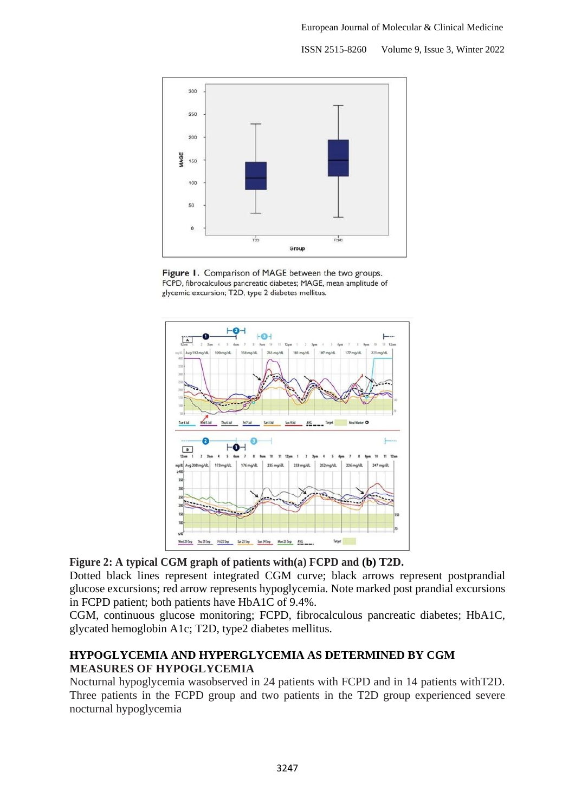ISSN 2515-8260 Volume 9, Issue 3, Winter 2022



Figure 1. Comparison of MAGE between the two groups. FCPD, fibrocalculous pancreatic diabetes; MAGE, mean amplitude of glycemic excursion; T2D, type 2 diabetes mellitus.



**Figure 2: A typical CGM graph of patients with(a) FCPD and (b) T2D.**

Dotted black lines represent integrated CGM curve; black arrows represent postprandial glucose excursions; red arrow represents hypoglycemia. Note marked post prandial excursions in FCPD patient; both patients have HbA1C of 9.4%.

CGM, continuous glucose monitoring; FCPD, fibrocalculous pancreatic diabetes; HbA1C, glycated hemoglobin A1c; T2D, type2 diabetes mellitus.

# **HYPOGLYCEMIA AND HYPERGLYCEMIA AS DETERMINED BY CGM MEASURES OF HYPOGLYCEMIA**

Nocturnal hypoglycemia wasobserved in 24 patients with FCPD and in 14 patients withT2D. Three patients in the FCPD group and two patients in the T2D group experienced severe nocturnal hypoglycemia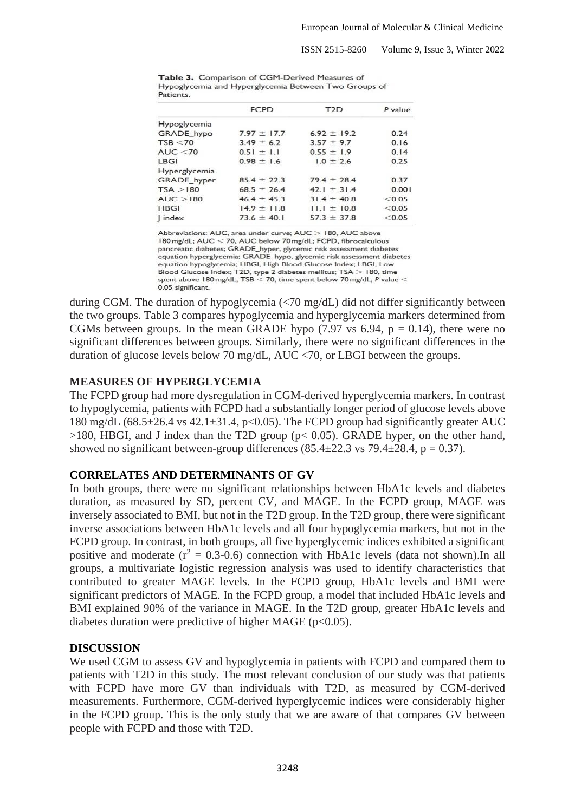ISSN 2515-8260 Volume 9, Issue 3, Winter 2022

|                   | <b>FCPD</b>     | T <sub>2</sub> D | P value |  |  |  |  |
|-------------------|-----------------|------------------|---------|--|--|--|--|
| Hypoglycemia      |                 |                  |         |  |  |  |  |
| <b>GRADE</b> hypo | $7.97 + 17.7$   | $6.92 + 19.2$    | 0.24    |  |  |  |  |
| TSB < 70          | $3.49 \pm 6.2$  | $3.57 \pm 9.7$   | 0.16    |  |  |  |  |
| AUC < 70          | $0.51 \pm 1.1$  | $0.55 \pm 1.9$   | 0.14    |  |  |  |  |
| LBGI              | $0.98 \pm 1.6$  | $1.0 \pm 2.6$    | 0.25    |  |  |  |  |
| Hyperglycemia     |                 |                  |         |  |  |  |  |
| GRADE hyper       | $85.4 \pm 22.3$ | $79.4 \pm 28.4$  | 0.37    |  |  |  |  |
| TSA > 180         | $68.5 \pm 26.4$ | $42.1 \pm 31.4$  | 0.001   |  |  |  |  |
| AUC > 180         | $46.4 \pm 45.3$ | $31.4 \pm 40.8$  | < 0.05  |  |  |  |  |
| <b>HBGI</b>       | $14.9 \pm 11.8$ | $ 11.1 \pm 10.8$ | < 0.05  |  |  |  |  |
| index             | $73.6 \pm 40.1$ | $57.3 \pm 37.8$  | < 0.05  |  |  |  |  |

Table 3. Comparison of CGM-Derived Measures of Hypoglycemia and Hyperglycemia Between Two Groups of **Patients** 

Abbreviations: AUC, area under curve; AUC > 180, AUC above 180 mg/dL; AUC < 70, AUC below 70 mg/dL; FCPD, fibrocalculous pancreatic diabetes; GRADE\_hyper, glycemic risk assessment diabetes equation hyperglycemia; GRADE\_hypo, glycemic risk assessment diabetes equation hypoglycemia; HBGI, High Blood Glucose Index; LBGI, Low Blood Glucose Index; T2D, type 2 diabetes mellitus; TSA  $>$  180, time spent above 180 mg/dL; TSB  $<$  70, time spent below 70 mg/dL; P value  $<$ 0.05 significant.

during CGM. The duration of hypoglycemia (<70 mg/dL) did not differ significantly between the two groups. Table 3 compares hypoglycemia and hyperglycemia markers determined from CGMs between groups. In the mean GRADE hypo  $(7.97 \text{ vs } 6.94, p = 0.14)$ , there were no significant differences between groups. Similarly, there were no significant differences in the duration of glucose levels below 70 mg/dL, AUC <70, or LBGI between the groups.

# **MEASURES OF HYPERGLYCEMIA**

The FCPD group had more dysregulation in CGM-derived hyperglycemia markers. In contrast to hypoglycemia, patients with FCPD had a substantially longer period of glucose levels above 180 mg/dL  $(68.5\pm 26.4 \text{ vs } 42.1\pm 31.4, \text{ p} < 0.05)$ . The FCPD group had significantly greater AUC  $>180$ , HBGI, and J index than the T2D group ( $p < 0.05$ ). GRADE hyper, on the other hand, showed no significant between-group differences  $(85.4 \pm 22.3 \text{ vs } 79.4 \pm 28.4, p = 0.37)$ .

# **CORRELATES AND DETERMINANTS OF GV**

In both groups, there were no significant relationships between HbA1c levels and diabetes duration, as measured by SD, percent CV, and MAGE. In the FCPD group, MAGE was inversely associated to BMI, but not in the T2D group. In the T2D group, there were significant inverse associations between HbA1c levels and all four hypoglycemia markers, but not in the FCPD group. In contrast, in both groups, all five hyperglycemic indices exhibited a significant positive and moderate  $(r^2 = 0.3-0.6)$  connection with HbA1c levels (data not shown). In all groups, a multivariate logistic regression analysis was used to identify characteristics that contributed to greater MAGE levels. In the FCPD group, HbA1c levels and BMI were significant predictors of MAGE. In the FCPD group, a model that included HbA1c levels and BMI explained 90% of the variance in MAGE. In the T2D group, greater HbA1c levels and diabetes duration were predictive of higher MAGE ( $p<0.05$ ).

### **DISCUSSION**

We used CGM to assess GV and hypoglycemia in patients with FCPD and compared them to patients with T2D in this study. The most relevant conclusion of our study was that patients with FCPD have more GV than individuals with T2D, as measured by CGM-derived measurements. Furthermore, CGM-derived hyperglycemic indices were considerably higher in the FCPD group. This is the only study that we are aware of that compares GV between people with FCPD and those with T2D.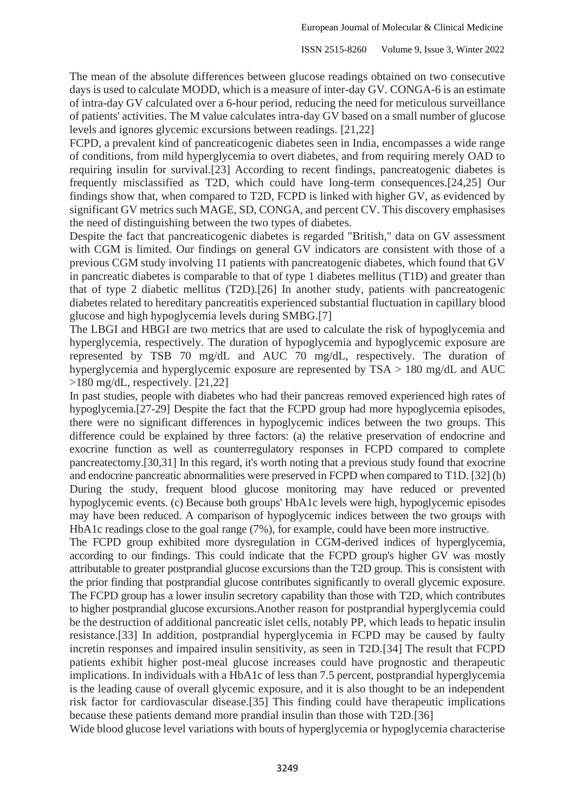The mean of the absolute differences between glucose readings obtained on two consecutive days is used to calculate MODD, which is a measure of inter-day GV. CONGA-6 is an estimate of intra-day GV calculated over a 6-hour period, reducing the need for meticulous surveillance of patients' activities. The M value calculates intra-day GV based on a small number of glucose levels and ignores glycemic excursions between readings. [21,22]

FCPD, a prevalent kind of pancreaticogenic diabetes seen in India, encompasses a wide range of conditions, from mild hyperglycemia to overt diabetes, and from requiring merely OAD to requiring insulin for survival.[23] According to recent findings, pancreatogenic diabetes is frequently misclassified as T2D, which could have long-term consequences.[24,25] Our findings show that, when compared to T2D, FCPD is linked with higher GV, as evidenced by significant GV metrics such MAGE, SD, CONGA, and percent CV. This discovery emphasises the need of distinguishing between the two types of diabetes.

Despite the fact that pancreaticogenic diabetes is regarded "British," data on GV assessment with CGM is limited. Our findings on general GV indicators are consistent with those of a previous CGM study involving 11 patients with pancreatogenic diabetes, which found that GV in pancreatic diabetes is comparable to that of type 1 diabetes mellitus (T1D) and greater than that of type 2 diabetic mellitus (T2D).[26] In another study, patients with pancreatogenic diabetes related to hereditary pancreatitis experienced substantial fluctuation in capillary blood glucose and high hypoglycemia levels during SMBG.[7]

The LBGI and HBGI are two metrics that are used to calculate the risk of hypoglycemia and hyperglycemia, respectively. The duration of hypoglycemia and hypoglycemic exposure are represented by TSB 70 mg/dL and AUC 70 mg/dL, respectively. The duration of hyperglycemia and hyperglycemic exposure are represented by TSA > 180 mg/dL and AUC >180 mg/dL, respectively. [21,22]

In past studies, people with diabetes who had their pancreas removed experienced high rates of hypoglycemia.[27-29] Despite the fact that the FCPD group had more hypoglycemia episodes, there were no significant differences in hypoglycemic indices between the two groups. This difference could be explained by three factors: (a) the relative preservation of endocrine and exocrine function as well as counterregulatory responses in FCPD compared to complete pancreatectomy.[30,31] In this regard, it's worth noting that a previous study found that exocrine and endocrine pancreatic abnormalities were preserved in FCPD when compared to T1D. [32] (b) During the study, frequent blood glucose monitoring may have reduced or prevented hypoglycemic events. (c) Because both groups' HbA1c levels were high, hypoglycemic episodes may have been reduced. A comparison of hypoglycemic indices between the two groups with HbA1c readings close to the goal range (7%), for example, could have been more instructive.

The FCPD group exhibited more dysregulation in CGM-derived indices of hyperglycemia, according to our findings. This could indicate that the FCPD group's higher GV was mostly attributable to greater postprandial glucose excursions than the T2D group. This is consistent with the prior finding that postprandial glucose contributes significantly to overall glycemic exposure. The FCPD group has a lower insulin secretory capability than those with T2D, which contributes to higher postprandial glucose excursions.Another reason for postprandial hyperglycemia could be the destruction of additional pancreatic islet cells, notably PP, which leads to hepatic insulin resistance.[33] In addition, postprandial hyperglycemia in FCPD may be caused by faulty incretin responses and impaired insulin sensitivity, as seen in T2D.[34] The result that FCPD patients exhibit higher post-meal glucose increases could have prognostic and therapeutic implications. In individuals with a HbA1c of less than 7.5 percent, postprandial hyperglycemia is the leading cause of overall glycemic exposure, and it is also thought to be an independent risk factor for cardiovascular disease.[35] This finding could have therapeutic implications because these patients demand more prandial insulin than those with T2D.[36]

Wide blood glucose level variations with bouts of hyperglycemia or hypoglycemia characterise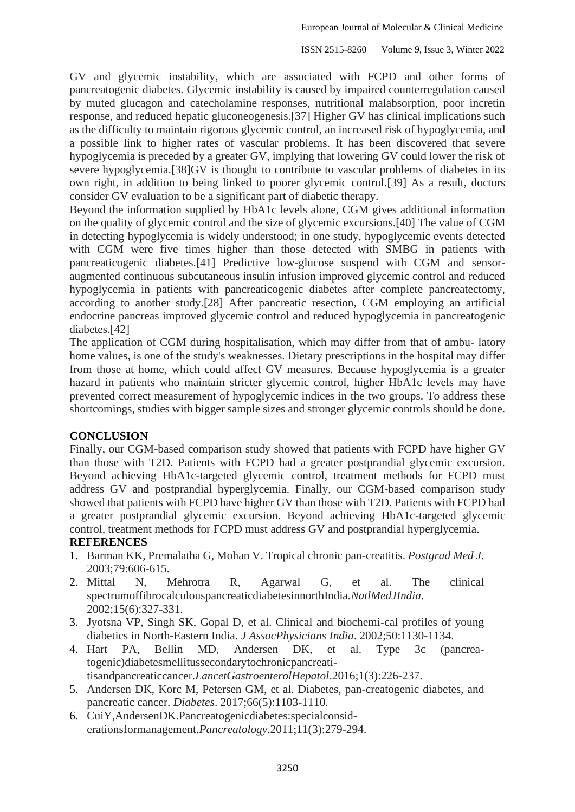GV and glycemic instability, which are associated with FCPD and other forms of pancreatogenic diabetes. Glycemic instability is caused by impaired counterregulation caused by muted glucagon and catecholamine responses, nutritional malabsorption, poor incretin response, and reduced hepatic gluconeogenesis.[37] Higher GV has clinical implications such as the difficulty to maintain rigorous glycemic control, an increased risk of hypoglycemia, and a possible link to higher rates of vascular problems. It has been discovered that severe hypoglycemia is preceded by a greater GV, implying that lowering GV could lower the risk of severe hypoglycemia.[38]GV is thought to contribute to vascular problems of diabetes in its own right, in addition to being linked to poorer glycemic control.[39] As a result, doctors consider GV evaluation to be a significant part of diabetic therapy.

Beyond the information supplied by HbA1c levels alone, CGM gives additional information on the quality of glycemic control and the size of glycemic excursions.[40] The value of CGM in detecting hypoglycemia is widely understood; in one study, hypoglycemic events detected with CGM were five times higher than those detected with SMBG in patients with pancreaticogenic diabetes.[41] Predictive low-glucose suspend with CGM and sensoraugmented continuous subcutaneous insulin infusion improved glycemic control and reduced hypoglycemia in patients with pancreaticogenic diabetes after complete pancreatectomy, according to another study.[28] After pancreatic resection, CGM employing an artificial endocrine pancreas improved glycemic control and reduced hypoglycemia in pancreatogenic diabetes.[42]

The application of CGM during hospitalisation, which may differ from that of ambu- latory home values, is one of the study's weaknesses. Dietary prescriptions in the hospital may differ from those at home, which could affect GV measures. Because hypoglycemia is a greater hazard in patients who maintain stricter glycemic control, higher HbA1c levels may have prevented correct measurement of hypoglycemic indices in the two groups. To address these shortcomings, studies with bigger sample sizes and stronger glycemic controls should be done.

### **CONCLUSION**

Finally, our CGM-based comparison study showed that patients with FCPD have higher GV than those with T2D. Patients with FCPD had a greater postprandial glycemic excursion. Beyond achieving HbA1c-targeted glycemic control, treatment methods for FCPD must address GV and postprandial hyperglycemia. Finally, our CGM-based comparison study showed that patients with FCPD have higher GV than those with T2D. Patients with FCPD had a greater postprandial glycemic excursion. Beyond achieving HbA1c-targeted glycemic control, treatment methods for FCPD must address GV and postprandial hyperglycemia.

# **REFERENCES**

- 1. Barman KK, Premalatha G, Mohan V. Tropical chronic pan-creatitis. *Postgrad Med J*. 2003;79:606-615.
- 2. Mittal N, Mehrotra R, Agarwal G, et al. The clinical spectrumoffibrocalculouspancreaticdiabetesinnorthIndia.*NatlMedJIndia*. 2002;15(6):327-331.
- 3. Jyotsna VP, Singh SK, Gopal D, et al. Clinical and biochemi-cal profiles of young diabetics in North-Eastern India. *J AssocPhysicians India*. 2002;50:1130-1134.
- 4. Hart PA, Bellin MD, Andersen DK, et al. Type 3c (pancreatogenic)diabetesmellitussecondarytochronicpancreati-
- tisandpancreaticcancer.*LancetGastroenterolHepatol*.2016;1(3):226-237.
- 5. Andersen DK, Korc M, Petersen GM, et al. Diabetes, pan-creatogenic diabetes, and pancreatic cancer. *Diabetes*. 2017;66(5):1103-1110.
- 6. CuiY,AndersenDK.Pancreatogenicdiabetes:specialconsiderationsformanagement.*Pancreatology*.2011;11(3):279-294.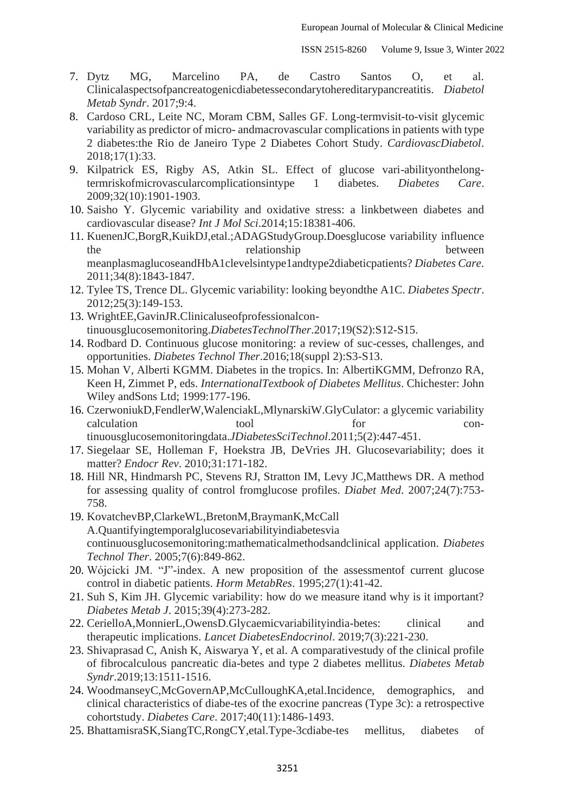- 7. Dytz MG, Marcelino PA, de Castro Santos O, et al. Clinicalaspectsofpancreatogenicdiabetessecondarytohereditarypancreatitis. *Diabetol Metab Syndr*. 2017;9:4.
- 8. Cardoso CRL, Leite NC, Moram CBM, Salles GF. Long-termvisit-to-visit glycemic variability as predictor of micro- andmacrovascular complications in patients with type 2 diabetes:the Rio de Janeiro Type 2 Diabetes Cohort Study. *CardiovascDiabetol*. 2018;17(1):33.
- 9. Kilpatrick ES, Rigby AS, Atkin SL. Effect of glucose vari-abilityonthelongtermriskofmicrovascularcomplicationsintype 1 diabetes. *Diabetes Care*. 2009;32(10):1901-1903.
- 10. Saisho Y. Glycemic variability and oxidative stress: a linkbetween diabetes and cardiovascular disease? *Int J Mol Sci*.2014;15:18381-406.
- 11. KuenenJC,BorgR,KuikDJ,etal.;ADAGStudyGroup.Doesglucose variability influence the relationship between meanplasmaglucoseandHbA1clevelsintype1andtype2diabeticpatients? *Diabetes Care*. 2011;34(8):1843-1847.
- 12. Tylee TS, Trence DL. Glycemic variability: looking beyondthe A1C. *Diabetes Spectr*. 2012;25(3):149-153.
- 13. WrightEE,GavinJR.Clinicaluseofprofessionalcontinuousglucosemonitoring.*DiabetesTechnolTher*.2017;19(S2):S12-S15.
- 14. Rodbard D. Continuous glucose monitoring: a review of suc-cesses, challenges, and opportunities. *Diabetes Technol Ther*.2016;18(suppl 2):S3-S13.
- 15. Mohan V, Alberti KGMM. Diabetes in the tropics. In: AlbertiKGMM, Defronzo RA, Keen H, Zimmet P, eds. *InternationalTextbook of Diabetes Mellitus*. Chichester: John Wiley andSons Ltd; 1999:177-196.
- 16. CzerwoniukD,FendlerW,WalenciakL,MlynarskiW.GlyCulator: a glycemic variability calculation tool tool for continuousglucosemonitoringdata.*JDiabetesSciTechnol*.2011;5(2):447-451.
- 17. Siegelaar SE, Holleman F, Hoekstra JB, DeVries JH. Glucosevariability; does it matter? *Endocr Rev*. 2010;31:171-182.
- 18. Hill NR, Hindmarsh PC, Stevens RJ, Stratton IM, Levy JC,Matthews DR. A method for assessing quality of control fromglucose profiles. *Diabet Med*. 2007;24(7):753- 758.
- 19. KovatchevBP,ClarkeWL,BretonM,BraymanK,McCall A.Quantifyingtemporalglucosevariabilityindiabetesvia continuousglucosemonitoring:mathematicalmethodsandclinical application. *Diabetes Technol Ther*. 2005;7(6):849-862.
- 20. Wójcicki JM. "J"-index. A new proposition of the assessmentof current glucose control in diabetic patients. *Horm MetabRes*. 1995;27(1):41-42.
- 21. Suh S, Kim JH. Glycemic variability: how do we measure itand why is it important? *Diabetes Metab J*. 2015;39(4):273-282.
- 22. CerielloA,MonnierL,OwensD.Glycaemicvariabilityindia-betes: clinical and therapeutic implications. *Lancet DiabetesEndocrinol*. 2019;7(3):221-230.
- 23. Shivaprasad C, Anish K, Aiswarya Y, et al. A comparativestudy of the clinical profile of fibrocalculous pancreatic dia-betes and type 2 diabetes mellitus. *Diabetes Metab Syndr*.2019;13:1511-1516.
- 24. WoodmanseyC,McGovernAP,McCulloughKA,etal.Incidence, demographics, and clinical characteristics of diabe-tes of the exocrine pancreas (Type 3c): a retrospective cohortstudy. *Diabetes Care*. 2017;40(11):1486-1493.
- 25. BhattamisraSK,SiangTC,RongCY,etal.Type-3cdiabe-tes mellitus, diabetes of